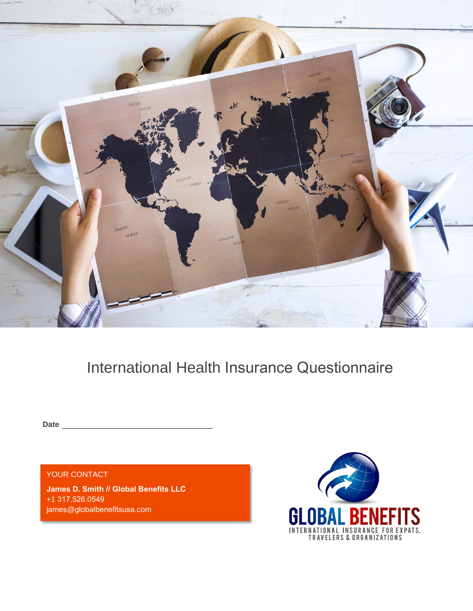

# International Health Insurance Questionnaire

**Date** \_\_\_\_\_\_\_\_\_\_\_\_\_\_\_\_\_\_\_\_\_\_\_\_\_\_\_\_\_

YOUR CONTACT

- james@globalbenefitsusa.com **James D. Smith // Global Benefits LLC** +1 317.526.0549

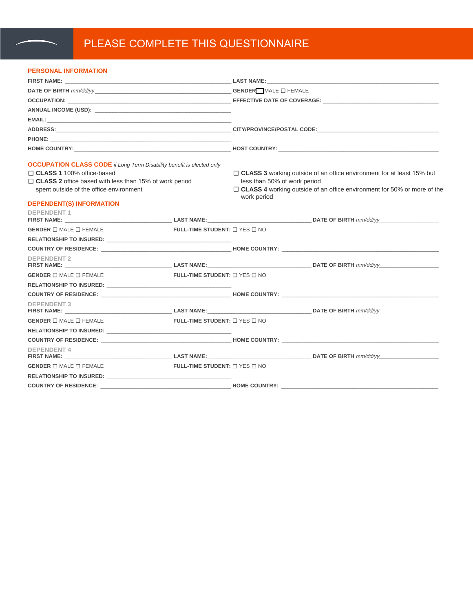## PLEASE COMPLETE THIS QUESTIONNAIRE

#### **PERSONAL INFORMATION**

|                                                                                                          |                                               | <b>LAST NAME:</b> The contract of the contract of the contract of the contract of the contract of the contract of the contract of the contract of the contract of the contract of the contract of the contract of the contract of t |  |  |  |  |  |  |  |  |
|----------------------------------------------------------------------------------------------------------|-----------------------------------------------|-------------------------------------------------------------------------------------------------------------------------------------------------------------------------------------------------------------------------------------|--|--|--|--|--|--|--|--|
|                                                                                                          |                                               |                                                                                                                                                                                                                                     |  |  |  |  |  |  |  |  |
|                                                                                                          |                                               |                                                                                                                                                                                                                                     |  |  |  |  |  |  |  |  |
|                                                                                                          |                                               |                                                                                                                                                                                                                                     |  |  |  |  |  |  |  |  |
|                                                                                                          |                                               |                                                                                                                                                                                                                                     |  |  |  |  |  |  |  |  |
|                                                                                                          |                                               | HOME COUNTRY: NATURAL PROPERTY AND THE SERVICE OF THE SERVICE OF THE SERVICE OF THE SERVICE OF THE SERVICE OF THE SERVICE OF THE SERVICE OF THE SERVICE OF THE SERVICE OF THE SERVICE OF THE SERVICE OF THE SERVICE OF THE SER      |  |  |  |  |  |  |  |  |
| <b>OCCUPATION CLASS CODE</b> if Long Term Disability benefit is elected only                             |                                               |                                                                                                                                                                                                                                     |  |  |  |  |  |  |  |  |
| □ CLASS 1 100% office-based                                                                              |                                               | $\Box$ CLASS 3 working outside of an office environment for at least 15% but                                                                                                                                                        |  |  |  |  |  |  |  |  |
| $\Box$ CLASS 2 office based with less than 15% of work period<br>spent outside of the office environment |                                               | less than 50% of work period<br>$\Box$ CLASS 4 working outside of an office environment for 50% or more of the<br>work period                                                                                                       |  |  |  |  |  |  |  |  |
| <b>DEPENDENT(S) INFORMATION</b>                                                                          |                                               |                                                                                                                                                                                                                                     |  |  |  |  |  |  |  |  |
| <b>DEPENDENT 1</b>                                                                                       |                                               |                                                                                                                                                                                                                                     |  |  |  |  |  |  |  |  |
| <b>GENDER</b> $\Box$ MALE $\Box$ FEMALE                                                                  | FULL-TIME STUDENT: $\Box$ YES $\Box$ NO       |                                                                                                                                                                                                                                     |  |  |  |  |  |  |  |  |
|                                                                                                          |                                               |                                                                                                                                                                                                                                     |  |  |  |  |  |  |  |  |
| COUNTRY OF RESIDENCE: NAMEL AND THE RESIDENCE: NAMEL AND THE RESIDENCE: NAMEL AND THE RESIDENCE:         |                                               |                                                                                                                                                                                                                                     |  |  |  |  |  |  |  |  |
| <b>DEPENDENT 2</b>                                                                                       |                                               |                                                                                                                                                                                                                                     |  |  |  |  |  |  |  |  |
| <b>GENDER</b> $\Box$ MALE $\Box$ FEMALE                                                                  | FULL-TIME STUDENT: $\square$ YES $\square$ NO |                                                                                                                                                                                                                                     |  |  |  |  |  |  |  |  |
|                                                                                                          |                                               |                                                                                                                                                                                                                                     |  |  |  |  |  |  |  |  |
|                                                                                                          |                                               |                                                                                                                                                                                                                                     |  |  |  |  |  |  |  |  |
| <b>DEPENDENT 3</b>                                                                                       |                                               |                                                                                                                                                                                                                                     |  |  |  |  |  |  |  |  |
| <b>GENDER</b> $\Box$ MALE $\Box$ FEMALE                                                                  | FULL-TIME STUDENT: $\Box$ YES $\Box$ NO       |                                                                                                                                                                                                                                     |  |  |  |  |  |  |  |  |
|                                                                                                          |                                               |                                                                                                                                                                                                                                     |  |  |  |  |  |  |  |  |
|                                                                                                          |                                               |                                                                                                                                                                                                                                     |  |  |  |  |  |  |  |  |
| <b>DEPENDENT 4</b>                                                                                       |                                               |                                                                                                                                                                                                                                     |  |  |  |  |  |  |  |  |
| <b>GENDER <math>\Box</math> MALE <math>\Box</math> FEMALE</b>                                            | FULL-TIME STUDENT: $\square$ YES $\square$ NO |                                                                                                                                                                                                                                     |  |  |  |  |  |  |  |  |
|                                                                                                          |                                               |                                                                                                                                                                                                                                     |  |  |  |  |  |  |  |  |
| COUNTRY OF RESIDENCE: The COUNTRY HOME COUNTRY:                                                          |                                               |                                                                                                                                                                                                                                     |  |  |  |  |  |  |  |  |
|                                                                                                          |                                               |                                                                                                                                                                                                                                     |  |  |  |  |  |  |  |  |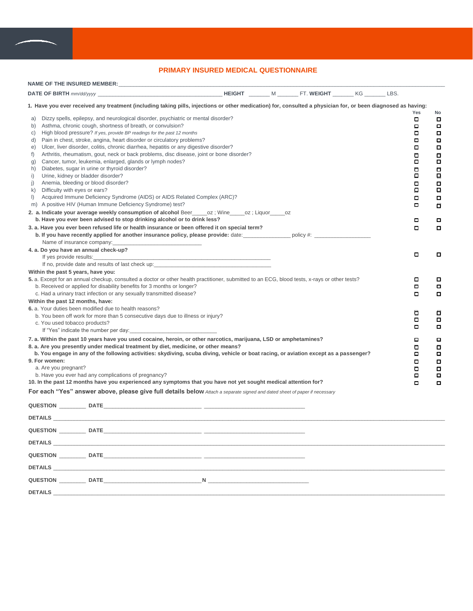

#### **PRIMARY INSURED MEDICAL QUESTIONNAIRE**

| a)<br>b)<br>C)<br>d)<br>e)<br>f)<br>g)<br>Diabetes, sugar in urine or thyroid disorder?<br>h)<br>i)<br>Urine, kidney or bladder disorder?<br>j)<br>Anemia, bleeding or blood disorder?<br>Difficulty with eyes or ears?<br>k)<br>$\vert$ ) | 1. Have you ever received any treatment (including taking pills, injections or other medication) for, consulted a physician for, or been diagnosed as having:<br>Dizzy spells, epilepsy, and neurological disorder, psychiatric or mental disorder?<br>Asthma, chronic cough, shortness of breath, or convulsion?<br>High blood pressure? If yes, provide BP readings for the past 12 months<br>Pain in chest, stroke, angina, heart disorder or circulatory problems?<br>Ulcer, liver disorder, colitis, chronic diarrhea, hepatitis or any digestive disorder?<br>Arthritis, rheumatism, gout, neck or back problems, disc disease, joint or bone disorder?<br>Cancer, tumor, leukemia, enlarged, glands or lymph nodes?<br>Acquired Immune Deficiency Syndrome (AIDS) or AIDS Related Complex (ARC)?<br>m) A positive HIV (Human Immune Deficiency Syndrome) test?<br>2. a. Indicate your average weekly consumption of alcohol Beer ______ oz; Wine _____ oz; Liquor _____ oz |  |  | Yes<br>о<br>$\Box$<br>о<br>$\Box$<br>α<br>о<br>$\Box$<br>$\Box$<br>$\Box$<br>$\Box$<br>$\Box$<br>α<br>◘ | No<br>0<br>α<br>α<br>$\Box$<br>α<br>α<br>$\Box$<br>$\Box$<br>$\blacksquare$<br>$\Box$<br>$\Box$<br>$\Box$<br>о |
|--------------------------------------------------------------------------------------------------------------------------------------------------------------------------------------------------------------------------------------------|-----------------------------------------------------------------------------------------------------------------------------------------------------------------------------------------------------------------------------------------------------------------------------------------------------------------------------------------------------------------------------------------------------------------------------------------------------------------------------------------------------------------------------------------------------------------------------------------------------------------------------------------------------------------------------------------------------------------------------------------------------------------------------------------------------------------------------------------------------------------------------------------------------------------------------------------------------------------------------------|--|--|---------------------------------------------------------------------------------------------------------|----------------------------------------------------------------------------------------------------------------|
|                                                                                                                                                                                                                                            | b. Have you ever been advised to stop drinking alcohol or to drink less?                                                                                                                                                                                                                                                                                                                                                                                                                                                                                                                                                                                                                                                                                                                                                                                                                                                                                                          |  |  | о                                                                                                       | o                                                                                                              |
| Name of insurance company:<br>4. a. Do you have an annual check-up?                                                                                                                                                                        | 3. a. Have you ever been refused life or health insurance or been offered it on special term?                                                                                                                                                                                                                                                                                                                                                                                                                                                                                                                                                                                                                                                                                                                                                                                                                                                                                     |  |  | α                                                                                                       | о                                                                                                              |
| If yes provide results:                                                                                                                                                                                                                    |                                                                                                                                                                                                                                                                                                                                                                                                                                                                                                                                                                                                                                                                                                                                                                                                                                                                                                                                                                                   |  |  | α                                                                                                       | o                                                                                                              |
| Within the past 5 years, have you:                                                                                                                                                                                                         | 5. a. Except for an annual checkup, consulted a doctor or other health practitioner, submitted to an ECG, blood tests, x-rays or other tests?<br>b. Received or applied for disability benefits for 3 months or longer?<br>c. Had a urinary tract infection or any sexually transmitted disease?                                                                                                                                                                                                                                                                                                                                                                                                                                                                                                                                                                                                                                                                                  |  |  | ο<br>ο<br>о                                                                                             | o<br>ο<br>$\Box$                                                                                               |
| Within the past 12 months, have:<br>6. a. Your duties been modified due to health reasons?<br>c. You used tobacco products?                                                                                                                | b. You been off work for more than 5 consecutive days due to illness or injury?<br>If "Yes" indicate the number per day:                                                                                                                                                                                                                                                                                                                                                                                                                                                                                                                                                                                                                                                                                                                                                                                                                                                          |  |  | о<br>α<br>o                                                                                             | α<br>α<br>α                                                                                                    |
| 9. For women:<br>a. Are you pregnant?                                                                                                                                                                                                      | 7. a. Within the past 10 years have you used cocaine, heroin, or other narcotics, marijuana, LSD or amphetamines?<br>8. a. Are you presently under medical treatment by diet, medicine, or other means?<br>b. You engage in any of the following activities: skydiving, scuba diving, vehicle or boat racing, or aviation except as a passenger?<br>b. Have you ever had any complications of pregnancy?<br>10. In the past 12 months have you experienced any symptoms that you have not yet sought medical attention for?<br>For each "Yes" answer above, please give full details below Attach a separate signed and dated sheet of paper if necessary                                                                                                                                                                                                                                                                                                                         |  |  | ο<br>α<br>◘<br>α<br>о<br>$\Box$<br>$\Box$                                                               | о<br>α<br>о<br>$\Box$<br>α<br>Ξ<br>$\Box$                                                                      |
|                                                                                                                                                                                                                                            |                                                                                                                                                                                                                                                                                                                                                                                                                                                                                                                                                                                                                                                                                                                                                                                                                                                                                                                                                                                   |  |  |                                                                                                         |                                                                                                                |
|                                                                                                                                                                                                                                            | <b>DETAILS</b>                                                                                                                                                                                                                                                                                                                                                                                                                                                                                                                                                                                                                                                                                                                                                                                                                                                                                                                                                                    |  |  |                                                                                                         |                                                                                                                |
| QUESTION DATE                                                                                                                                                                                                                              |                                                                                                                                                                                                                                                                                                                                                                                                                                                                                                                                                                                                                                                                                                                                                                                                                                                                                                                                                                                   |  |  |                                                                                                         |                                                                                                                |
| <b>DETAILS</b>                                                                                                                                                                                                                             |                                                                                                                                                                                                                                                                                                                                                                                                                                                                                                                                                                                                                                                                                                                                                                                                                                                                                                                                                                                   |  |  |                                                                                                         |                                                                                                                |
|                                                                                                                                                                                                                                            | QUESTION DATE                                                                                                                                                                                                                                                                                                                                                                                                                                                                                                                                                                                                                                                                                                                                                                                                                                                                                                                                                                     |  |  |                                                                                                         |                                                                                                                |
|                                                                                                                                                                                                                                            | <b>DETAILS Example 20</b>                                                                                                                                                                                                                                                                                                                                                                                                                                                                                                                                                                                                                                                                                                                                                                                                                                                                                                                                                         |  |  |                                                                                                         |                                                                                                                |
|                                                                                                                                                                                                                                            | QUESTION DATE N                                                                                                                                                                                                                                                                                                                                                                                                                                                                                                                                                                                                                                                                                                                                                                                                                                                                                                                                                                   |  |  |                                                                                                         |                                                                                                                |

**DETAILS** \_\_\_\_\_\_\_\_\_\_\_\_\_\_\_\_\_\_\_\_\_\_\_\_\_\_\_\_\_\_\_\_\_\_\_\_\_\_\_\_\_\_\_\_\_\_\_\_\_\_\_\_\_\_\_\_\_\_\_\_\_\_\_\_\_\_\_\_\_\_\_\_\_\_\_\_\_\_\_\_\_\_\_\_\_\_\_\_\_\_\_\_\_\_\_\_\_\_\_\_\_\_\_\_\_\_\_\_\_\_\_\_\_\_\_\_\_\_\_\_\_\_\_\_\_\_\_\_\_\_\_\_